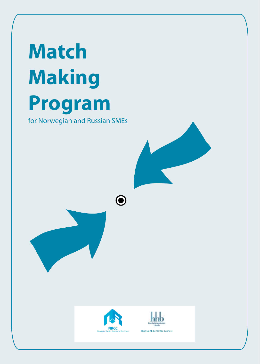# **Match Making Program**

for Norwegian and Russian SMEs







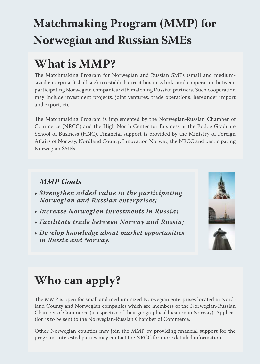## **Matchmaking Program (MMP) for Norwegian and Russian SMEs**

### **What is MMP?**

The Matchmaking Program for Norwegian and Russian SMEs (small and mediumsized enterprises) shall seek to establish direct business links and cooperation between participating Norwegian companies with matching Russian partners. Such cooperation may include investment projects, joint ventures, trade operations, hereunder import and export, etc.

The Matchmaking Program is implemented by the Norwegian-Russian Chamber of Commerce (NRCC) and the High North Center for Business at the Bodoe Graduate School of Business (HNC). Financial support is provided by the Ministry of Foreign Affairs of Norway, Nordland County, Innovation Norway, the NRCC and participating Norwegian SMEs.

#### *MMP Goals*

- *Strengthen added value in the participating Norwegian and Russian enterprises;*
- *Increase Norwegian investments in Russia;*
- *Facilitate trade between Norway and Russia;*
- *Develop knowledge about market opportunities in Russia and Norway.*



## **Who can apply?**

The MMP is open for small and medium-sized Norwegian enterprises located in Nordland County and Norwegian companies which are members of the Norwegian-Russian Chamber of Commerce (irrespective of their geographical location in Norway). Application is to be sent to the Norwegian-Russian Chamber of Commerce.

Other Norwegian counties may join the MMP by providing financial support for the program. Interested parties may contact the NRCC for more detailed information.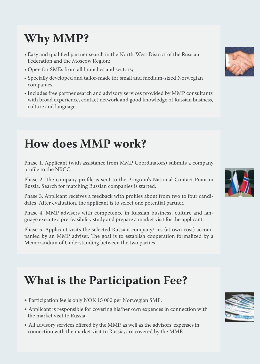## **Why MMP?**

- Easy and qualified partner search in the North-West District of the Russian Federation and the Moscow Region;
- Open for SMEs from all branches and sectors;
- Specially developed and tailor-made for small and medium-sized Norwegian companies;
- Includes free partner search and advisory services provided by MMP consultants with broad experience, contact network and good knowledge of Russian business, culture and language.

#### **How does MMP work?**

Phase 1. Applicant (with assistance from MMP Coordinators) submits a company profile to the NRCC.

Phase 2. The company profile is sent to the Program's National Contact Point in Russia. Search for matching Russian companies is started.

Phase 3. Applicant receives a feedback with profiles about from two to four candidates. After evaluation, the applicant is to select one potential partner.

Phase 4. MMP advisers with competence in Russian business, culture and language execute a pre-feasibility study and prepare a market visit for the applicant.

Phase 5. Applicant visits the selected Russian company/-ies (at own cost) accompanied by an MMP adviser. The goal is to establish cooperation formalized by a Memorandum of Understanding between the two parties.

### **What is the Participation Fee?**

- Participation fee is only NOK 15 000 per Norwegian SME.
- Applicant is responsible for covering his/her own expences in connection with the market visit to Russia.
- All advisory services offered by the MMP, as well as the advisors' expenses in connection with the market visit to Russia, are covered by the MMP.